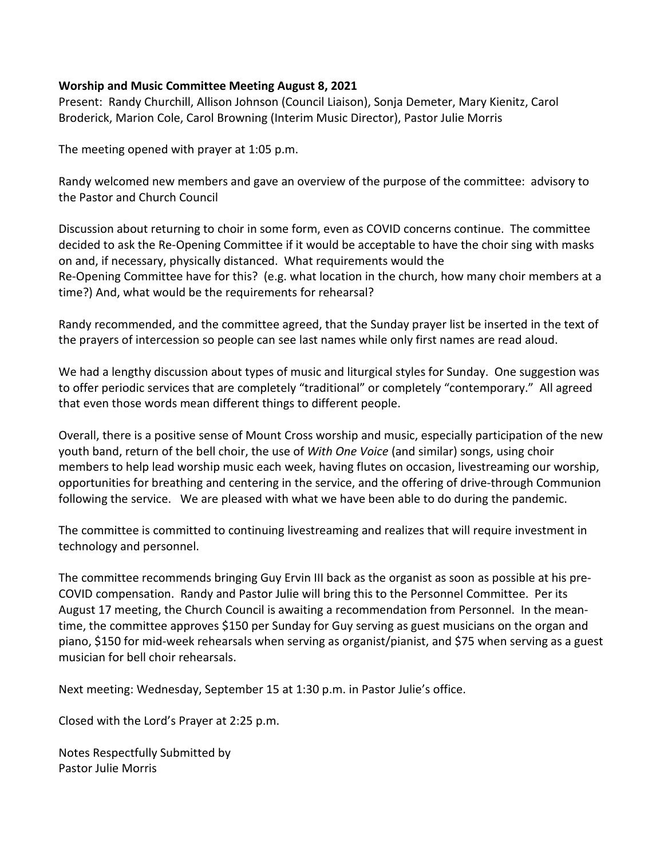#### **Worship and Music Committee Meeting August 8, 2021**

Present: Randy Churchill, Allison Johnson (Council Liaison), Sonja Demeter, Mary Kienitz, Carol Broderick, Marion Cole, Carol Browning (Interim Music Director), Pastor Julie Morris

The meeting opened with prayer at 1:05 p.m.

Randy welcomed new members and gave an overview of the purpose of the committee: advisory to the Pastor and Church Council

Discussion about returning to choir in some form, even as COVID concerns continue. The committee decided to ask the Re-Opening Committee if it would be acceptable to have the choir sing with masks on and, if necessary, physically distanced. What requirements would the Re-Opening Committee have for this? (e.g. what location in the church, how many choir members at a time?) And, what would be the requirements for rehearsal?

Randy recommended, and the committee agreed, that the Sunday prayer list be inserted in the text of the prayers of intercession so people can see last names while only first names are read aloud.

We had a lengthy discussion about types of music and liturgical styles for Sunday. One suggestion was to offer periodic services that are completely "traditional" or completely "contemporary." All agreed that even those words mean different things to different people.

Overall, there is a positive sense of Mount Cross worship and music, especially participation of the new youth band, return of the bell choir, the use of *With One Voice* (and similar) songs, using choir members to help lead worship music each week, having flutes on occasion, livestreaming our worship, opportunities for breathing and centering in the service, and the offering of drive-through Communion following the service. We are pleased with what we have been able to do during the pandemic.

The committee is committed to continuing livestreaming and realizes that will require investment in technology and personnel.

The committee recommends bringing Guy Ervin III back as the organist as soon as possible at his pre-COVID compensation. Randy and Pastor Julie will bring this to the Personnel Committee. Per its August 17 meeting, the Church Council is awaiting a recommendation from Personnel. In the meantime, the committee approves \$150 per Sunday for Guy serving as guest musicians on the organ and piano, \$150 for mid-week rehearsals when serving as organist/pianist, and \$75 when serving as a guest musician for bell choir rehearsals.

Next meeting: Wednesday, September 15 at 1:30 p.m. in Pastor Julie's office.

Closed with the Lord's Prayer at 2:25 p.m.

Notes Respectfully Submitted by Pastor Julie Morris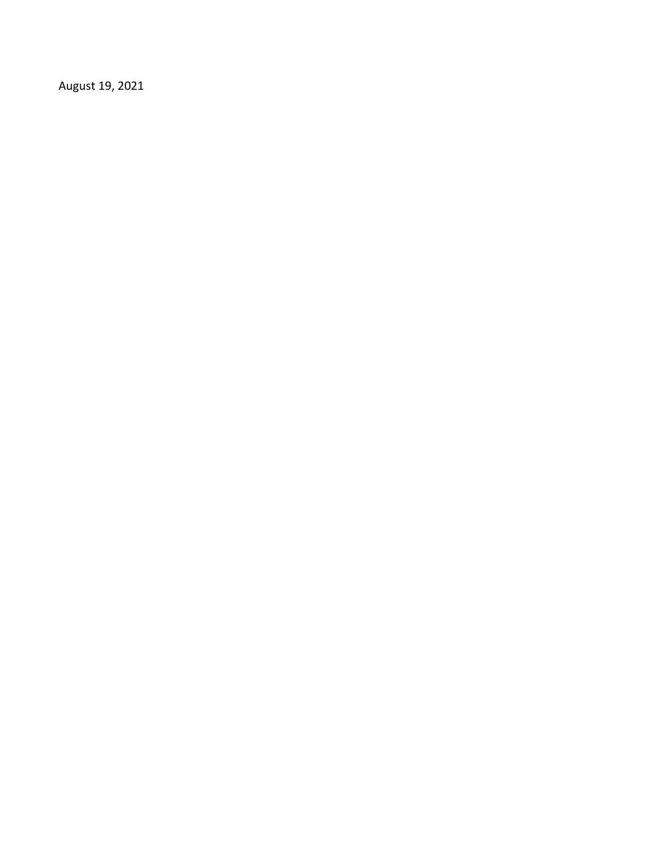August 19, 2021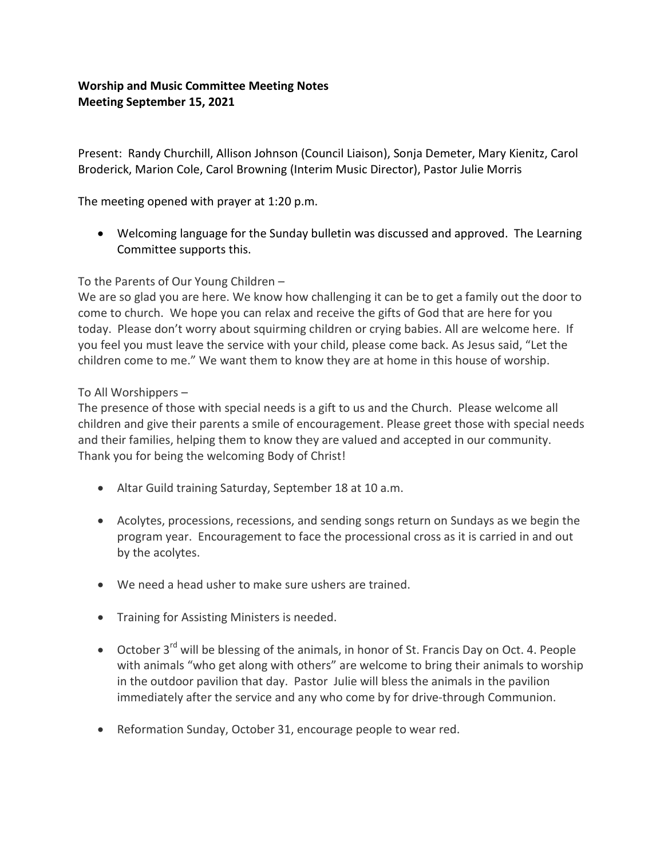# **Worship and Music Committee Meeting Notes Meeting September 15, 2021**

Present: Randy Churchill, Allison Johnson (Council Liaison), Sonja Demeter, Mary Kienitz, Carol Broderick, Marion Cole, Carol Browning (Interim Music Director), Pastor Julie Morris

The meeting opened with prayer at 1:20 p.m.

 Welcoming language for the Sunday bulletin was discussed and approved. The Learning Committee supports this.

## To the Parents of Our Young Children –

We are so glad you are here. We know how challenging it can be to get a family out the door to come to church. We hope you can relax and receive the gifts of God that are here for you today. Please don't worry about squirming children or crying babies. All are welcome here. If you feel you must leave the service with your child, please come back. As Jesus said, "Let the children come to me." We want them to know they are at home in this house of worship.

### To All Worshippers –

The presence of those with special needs is a gift to us and the Church. Please welcome all children and give their parents a smile of encouragement. Please greet those with special needs and their families, helping them to know they are valued and accepted in our community. Thank you for being the welcoming Body of Christ!

- Altar Guild training Saturday, September 18 at 10 a.m.
- Acolytes, processions, recessions, and sending songs return on Sundays as we begin the program year. Encouragement to face the processional cross as it is carried in and out by the acolytes.
- We need a head usher to make sure ushers are trained.
- **•** Training for Assisting Ministers is needed.
- October 3rd will be blessing of the animals, in honor of St. Francis Day on Oct. 4. People with animals "who get along with others" are welcome to bring their animals to worship in the outdoor pavilion that day. Pastor Julie will bless the animals in the pavilion immediately after the service and any who come by for drive-through Communion.
- Reformation Sunday, October 31, encourage people to wear red.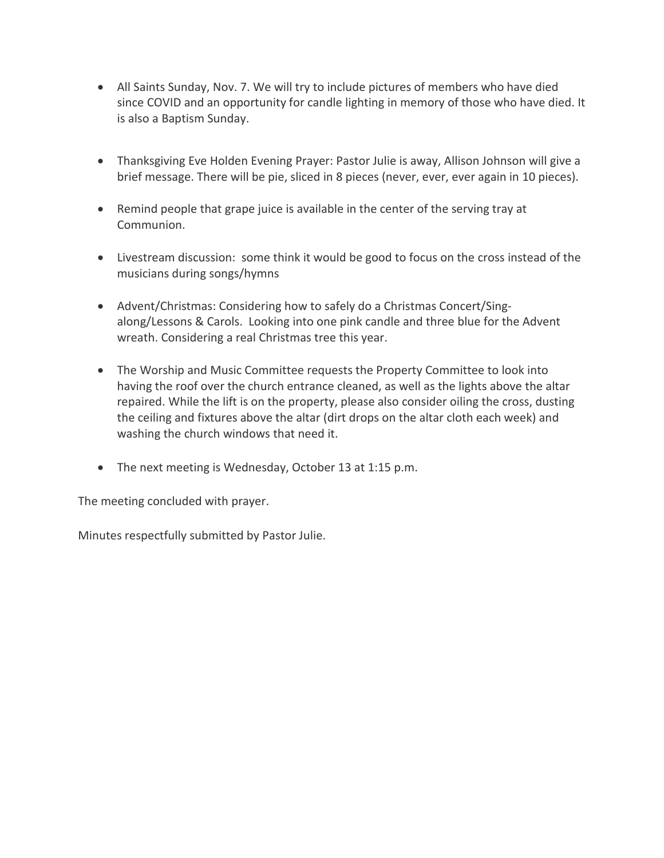- All Saints Sunday, Nov. 7. We will try to include pictures of members who have died since COVID and an opportunity for candle lighting in memory of those who have died. It is also a Baptism Sunday.
- Thanksgiving Eve Holden Evening Prayer: Pastor Julie is away, Allison Johnson will give a brief message. There will be pie, sliced in 8 pieces (never, ever, ever again in 10 pieces).
- Remind people that grape juice is available in the center of the serving tray at Communion.
- Livestream discussion: some think it would be good to focus on the cross instead of the musicians during songs/hymns
- Advent/Christmas: Considering how to safely do a Christmas Concert/Singalong/Lessons & Carols. Looking into one pink candle and three blue for the Advent wreath. Considering a real Christmas tree this year.
- The Worship and Music Committee requests the Property Committee to look into having the roof over the church entrance cleaned, as well as the lights above the altar repaired. While the lift is on the property, please also consider oiling the cross, dusting the ceiling and fixtures above the altar (dirt drops on the altar cloth each week) and washing the church windows that need it.
- The next meeting is Wednesday, October 13 at 1:15 p.m.

The meeting concluded with prayer.

Minutes respectfully submitted by Pastor Julie.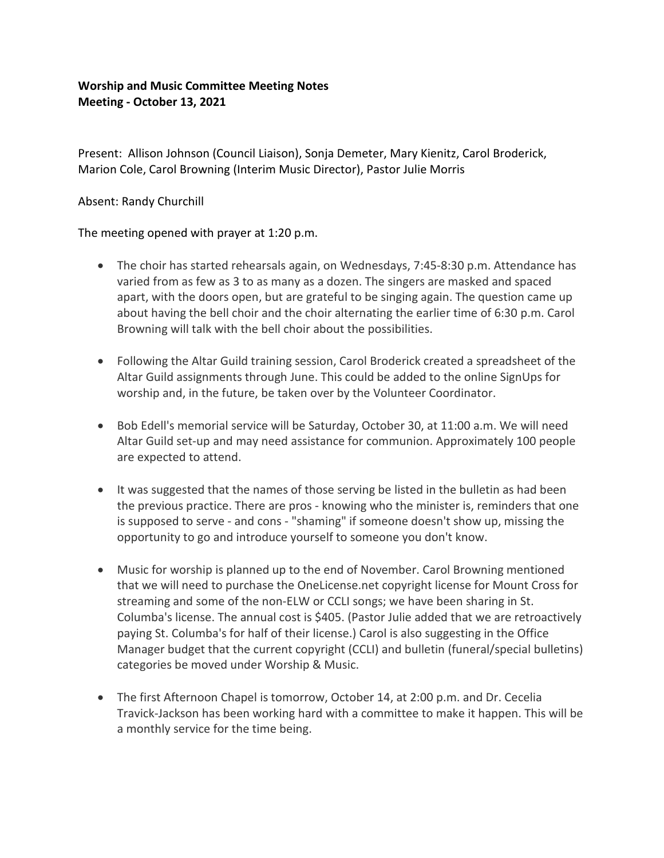# **Worship and Music Committee Meeting Notes Meeting - October 13, 2021**

Present: Allison Johnson (Council Liaison), Sonja Demeter, Mary Kienitz, Carol Broderick, Marion Cole, Carol Browning (Interim Music Director), Pastor Julie Morris

### Absent: Randy Churchill

The meeting opened with prayer at 1:20 p.m.

- The choir has started rehearsals again, on Wednesdays, 7:45-8:30 p.m. Attendance has varied from as few as 3 to as many as a dozen. The singers are masked and spaced apart, with the doors open, but are grateful to be singing again. The question came up about having the bell choir and the choir alternating the earlier time of 6:30 p.m. Carol Browning will talk with the bell choir about the possibilities.
- Following the Altar Guild training session, Carol Broderick created a spreadsheet of the Altar Guild assignments through June. This could be added to the online SignUps for worship and, in the future, be taken over by the Volunteer Coordinator.
- Bob Edell's memorial service will be Saturday, October 30, at 11:00 a.m. We will need Altar Guild set-up and may need assistance for communion. Approximately 100 people are expected to attend.
- It was suggested that the names of those serving be listed in the bulletin as had been the previous practice. There are pros - knowing who the minister is, reminders that one is supposed to serve - and cons - "shaming" if someone doesn't show up, missing the opportunity to go and introduce yourself to someone you don't know.
- Music for worship is planned up to the end of November. Carol Browning mentioned that we will need to purchase the OneLicense.net copyright license for Mount Cross for streaming and some of the non-ELW or CCLI songs; we have been sharing in St. Columba's license. The annual cost is \$405. (Pastor Julie added that we are retroactively paying St. Columba's for half of their license.) Carol is also suggesting in the Office Manager budget that the current copyright (CCLI) and bulletin (funeral/special bulletins) categories be moved under Worship & Music.
- The first Afternoon Chapel is tomorrow, October 14, at 2:00 p.m. and Dr. Cecelia Travick-Jackson has been working hard with a committee to make it happen. This will be a monthly service for the time being.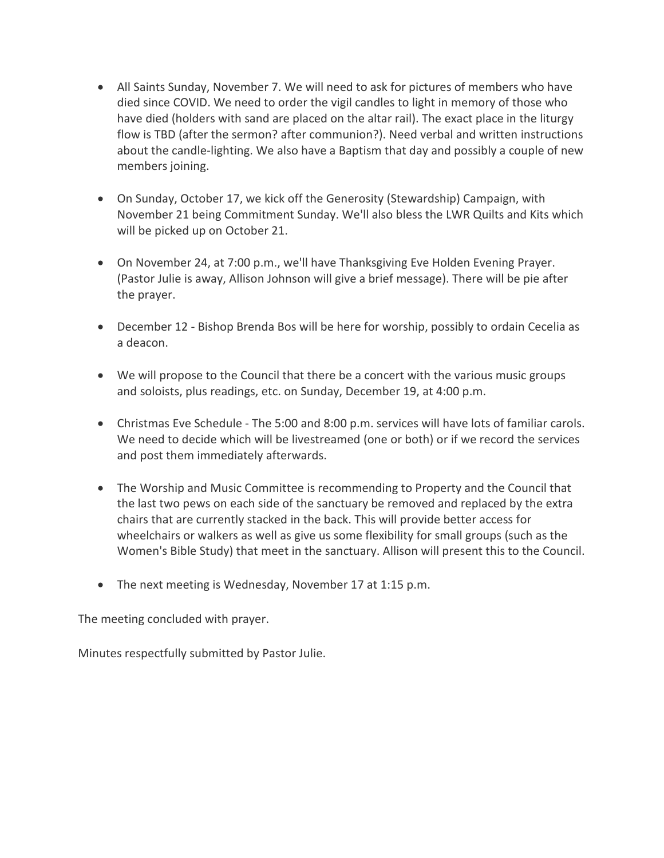- All Saints Sunday, November 7. We will need to ask for pictures of members who have died since COVID. We need to order the vigil candles to light in memory of those who have died (holders with sand are placed on the altar rail). The exact place in the liturgy flow is TBD (after the sermon? after communion?). Need verbal and written instructions about the candle-lighting. We also have a Baptism that day and possibly a couple of new members joining.
- On Sunday, October 17, we kick off the Generosity (Stewardship) Campaign, with November 21 being Commitment Sunday. We'll also bless the LWR Quilts and Kits which will be picked up on October 21.
- On November 24, at 7:00 p.m., we'll have Thanksgiving Eve Holden Evening Prayer. (Pastor Julie is away, Allison Johnson will give a brief message). There will be pie after the prayer.
- December 12 Bishop Brenda Bos will be here for worship, possibly to ordain Cecelia as a deacon.
- We will propose to the Council that there be a concert with the various music groups and soloists, plus readings, etc. on Sunday, December 19, at 4:00 p.m.
- Christmas Eve Schedule The 5:00 and 8:00 p.m. services will have lots of familiar carols. We need to decide which will be livestreamed (one or both) or if we record the services and post them immediately afterwards.
- The Worship and Music Committee is recommending to Property and the Council that the last two pews on each side of the sanctuary be removed and replaced by the extra chairs that are currently stacked in the back. This will provide better access for wheelchairs or walkers as well as give us some flexibility for small groups (such as the Women's Bible Study) that meet in the sanctuary. Allison will present this to the Council.
- The next meeting is Wednesday, November 17 at 1:15 p.m.

The meeting concluded with prayer.

Minutes respectfully submitted by Pastor Julie.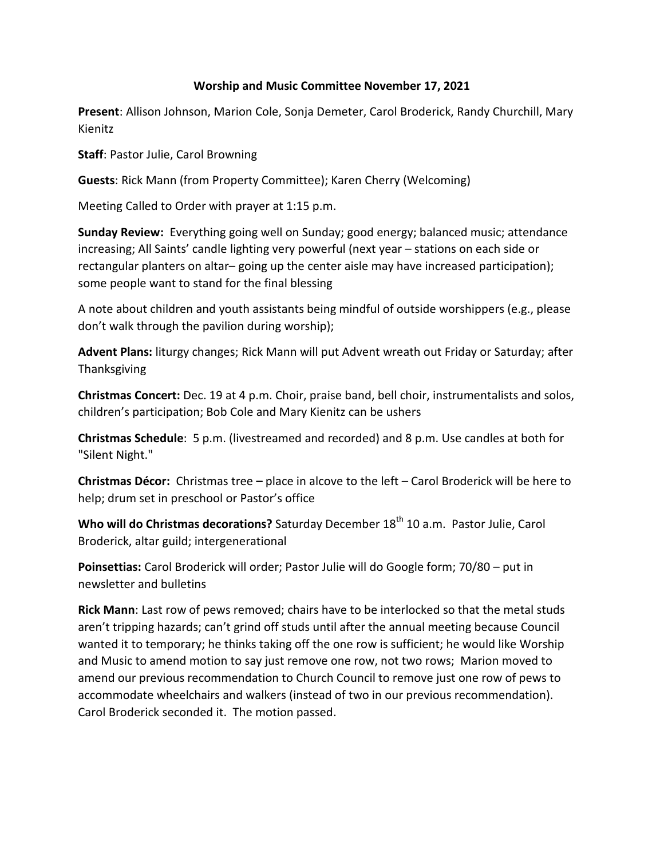#### **Worship and Music Committee November 17, 2021**

**Present**: Allison Johnson, Marion Cole, Sonja Demeter, Carol Broderick, Randy Churchill, Mary Kienitz

**Staff**: Pastor Julie, Carol Browning

**Guests**: Rick Mann (from Property Committee); Karen Cherry (Welcoming)

Meeting Called to Order with prayer at 1:15 p.m.

**Sunday Review:** Everything going well on Sunday; good energy; balanced music; attendance increasing; All Saints' candle lighting very powerful (next year – stations on each side or rectangular planters on altar– going up the center aisle may have increased participation); some people want to stand for the final blessing

A note about children and youth assistants being mindful of outside worshippers (e.g., please don't walk through the pavilion during worship);

**Advent Plans:** liturgy changes; Rick Mann will put Advent wreath out Friday or Saturday; after Thanksgiving

**Christmas Concert:** Dec. 19 at 4 p.m. Choir, praise band, bell choir, instrumentalists and solos, children's participation; Bob Cole and Mary Kienitz can be ushers

**Christmas Schedule**: 5 p.m. (livestreamed and recorded) and 8 p.m. Use candles at both for "Silent Night."

**Christmas Décor:** Christmas tree **–** place in alcove to the left – Carol Broderick will be here to help; drum set in preschool or Pastor's office

Who will do Christmas decorations? Saturday December 18<sup>th</sup> 10 a.m. Pastor Julie, Carol Broderick, altar guild; intergenerational

**Poinsettias:** Carol Broderick will order; Pastor Julie will do Google form; 70/80 – put in newsletter and bulletins

**Rick Mann**: Last row of pews removed; chairs have to be interlocked so that the metal studs aren't tripping hazards; can't grind off studs until after the annual meeting because Council wanted it to temporary; he thinks taking off the one row is sufficient; he would like Worship and Music to amend motion to say just remove one row, not two rows; Marion moved to amend our previous recommendation to Church Council to remove just one row of pews to accommodate wheelchairs and walkers (instead of two in our previous recommendation). Carol Broderick seconded it. The motion passed.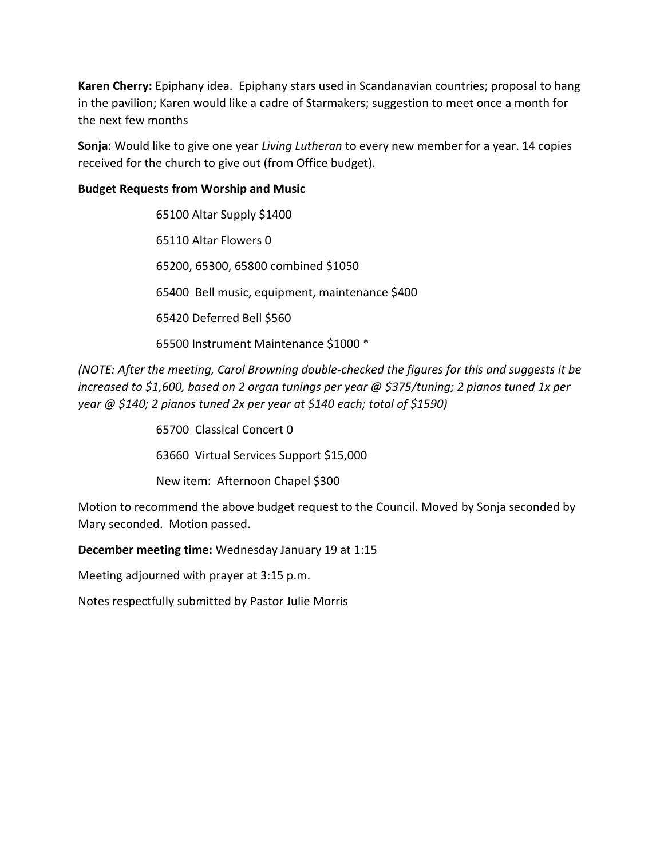**Karen Cherry:** Epiphany idea. Epiphany stars used in Scandanavian countries; proposal to hang in the pavilion; Karen would like a cadre of Starmakers; suggestion to meet once a month for the next few months

**Sonja**: Would like to give one year *Living Lutheran* to every new member for a year. 14 copies received for the church to give out (from Office budget).

### **Budget Requests from Worship and Music**

65100 Altar Supply \$1400 65110 Altar Flowers 0 65200, 65300, 65800 combined \$1050 65400 Bell music, equipment, maintenance \$400 65420 Deferred Bell \$560 65500 Instrument Maintenance \$1000 \*

*(NOTE: After the meeting, Carol Browning double-checked the figures for this and suggests it be increased to \$1,600, based on 2 organ tunings per year @ \$375/tuning; 2 pianos tuned 1x per year @ \$140; 2 pianos tuned 2x per year at \$140 each; total of \$1590)*

> 65700 Classical Concert 0 63660 Virtual Services Support \$15,000 New item: Afternoon Chapel \$300

Motion to recommend the above budget request to the Council. Moved by Sonja seconded by Mary seconded. Motion passed.

**December meeting time:** Wednesday January 19 at 1:15

Meeting adjourned with prayer at 3:15 p.m.

Notes respectfully submitted by Pastor Julie Morris